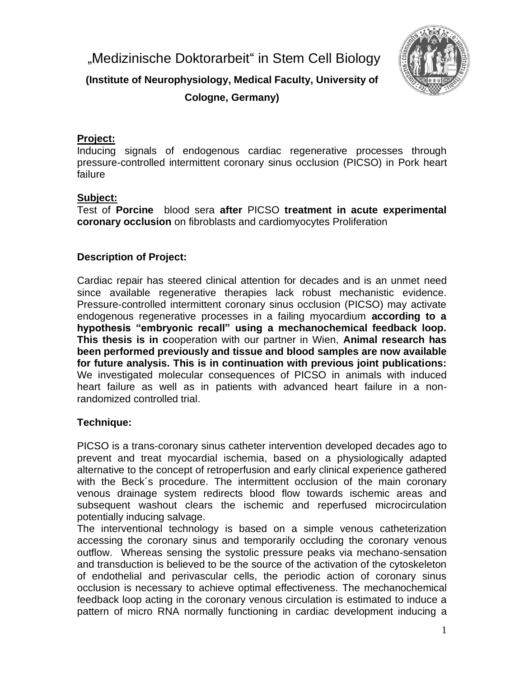"Medizinische Doktorarbeit" in Stem Cell Biology



**(Institute of Neurophysiology, Medical Faculty, University of Cologne, Germany)**

## **Project:**

Inducing signals of endogenous cardiac regenerative processes through pressure-controlled intermittent coronary sinus occlusion (PICSO) in Pork heart failure

## **Subject:**

Test of **Porcine** blood sera **after** PICSO **treatment in acute experimental coronary occlusion** on fibroblasts and cardiomyocytes Proliferation

## **Description of Project:**

Cardiac repair has steered clinical attention for decades and is an unmet need since available regenerative therapies lack robust mechanistic evidence. Pressure-controlled intermittent coronary sinus occlusion (PICSO) may activate endogenous regenerative processes in a failing myocardium **according to a hypothesis "embryonic recall" using a mechanochemical feedback loop. This thesis is in c**ooperation with our partner in Wien, **Animal research has been performed previously and tissue and blood samples are now available for future analysis. This is in continuation with previous joint publications:**  We investigated molecular consequences of PICSO in animals with induced heart failure as well as in patients with advanced heart failure in a nonrandomized controlled trial.

## **Technique:**

PICSO is a trans-coronary sinus catheter intervention developed decades ago to prevent and treat myocardial ischemia, based on a physiologically adapted alternative to the concept of retroperfusion and early clinical experience gathered with the Beck´s procedure. The intermittent occlusion of the main coronary venous drainage system redirects blood flow towards ischemic areas and subsequent washout clears the ischemic and reperfused microcirculation potentially inducing salvage.

The interventional technology is based on a simple venous catheterization accessing the coronary sinus and temporarily occluding the coronary venous outflow. Whereas sensing the systolic pressure peaks via mechano-sensation and transduction is believed to be the source of the activation of the cytoskeleton of endothelial and perivascular cells, the periodic action of coronary sinus occlusion is necessary to achieve optimal effectiveness. The mechanochemical feedback loop acting in the coronary venous circulation is estimated to induce a pattern of micro RNA normally functioning in cardiac development inducing a